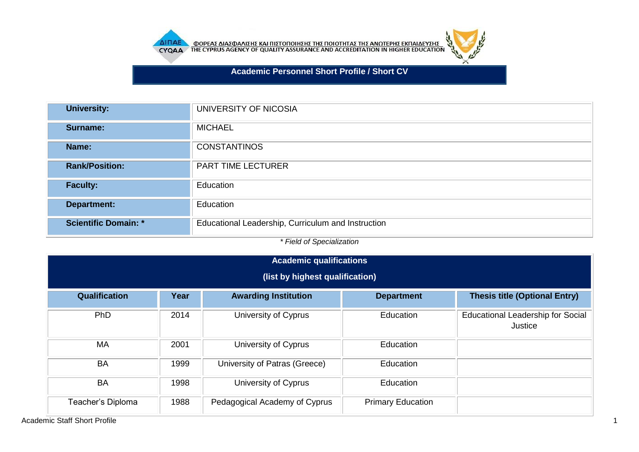

AI<mark>NAE OOPEAE AIAEOAAIEHE KAI NIETONOIHEHE THE NOIOTHTAE THE ANOTEPHE EKNAIAEYEHE</mark>



**Academic Personnel Short Profile / Short CV**

| <b>University:</b>          | UNIVERSITY OF NICOSIA                              |
|-----------------------------|----------------------------------------------------|
| Surname:                    | <b>MICHAEL</b>                                     |
| Name:                       | <b>CONSTANTINOS</b>                                |
| <b>Rank/Position:</b>       | PART TIME LECTURER                                 |
| <b>Faculty:</b>             | Education                                          |
| Department:                 | Education                                          |
| <b>Scientific Domain: *</b> | Educational Leadership, Curriculum and Instruction |

*\* Field of Specialization*

| Academic qualifications |                                 |                               |                          |                                                     |  |  |  |
|-------------------------|---------------------------------|-------------------------------|--------------------------|-----------------------------------------------------|--|--|--|
|                         | (list by highest qualification) |                               |                          |                                                     |  |  |  |
| <b>Qualification</b>    | Year                            | <b>Awarding Institution</b>   | <b>Department</b>        | <b>Thesis title (Optional Entry)</b>                |  |  |  |
| PhD                     | 2014                            | University of Cyprus          | Education                | <b>Educational Leadership for Social</b><br>Justice |  |  |  |
| <b>MA</b>               | 2001                            | University of Cyprus          | Education                |                                                     |  |  |  |
| <b>BA</b>               | 1999                            | University of Patras (Greece) | Education                |                                                     |  |  |  |
| <b>BA</b>               | 1998                            | University of Cyprus          | Education                |                                                     |  |  |  |
| Teacher's Diploma       | 1988                            | Pedagogical Academy of Cyprus | <b>Primary Education</b> |                                                     |  |  |  |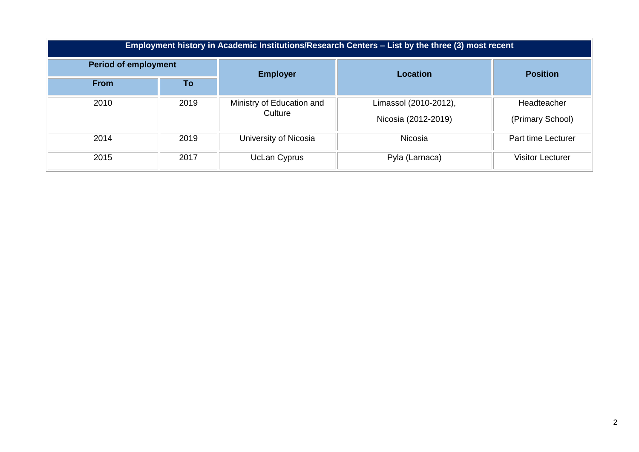| Employment history in Academic Institutions/Research Centers – List by the three (3) most recent |      |                           |                       |                         |  |  |
|--------------------------------------------------------------------------------------------------|------|---------------------------|-----------------------|-------------------------|--|--|
| <b>Period of employment</b>                                                                      |      | <b>Employer</b>           | <b>Location</b>       | <b>Position</b>         |  |  |
| <b>From</b>                                                                                      | To   |                           |                       |                         |  |  |
| 2010                                                                                             | 2019 | Ministry of Education and | Limassol (2010-2012), | Headteacher             |  |  |
|                                                                                                  |      | Culture                   | Nicosia (2012-2019)   | (Primary School)        |  |  |
| 2014                                                                                             | 2019 | University of Nicosia     | <b>Nicosia</b>        | Part time Lecturer      |  |  |
| 2015                                                                                             | 2017 | UcLan Cyprus              | Pyla (Larnaca)        | <b>Visitor Lecturer</b> |  |  |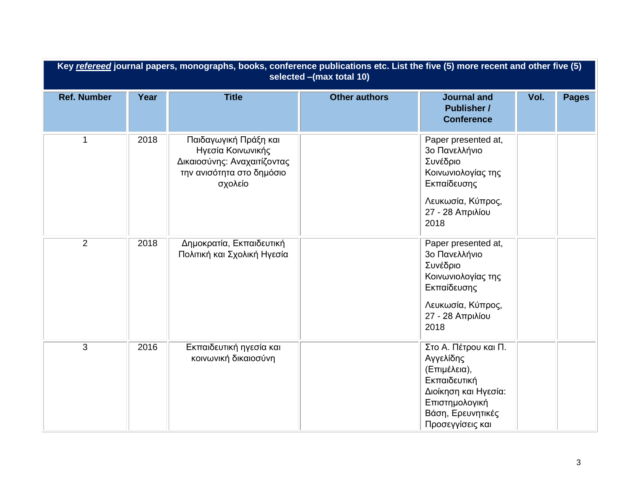| Key refereed journal papers, monographs, books, conference publications etc. List the five (5) more recent and other five (5)<br>selected -(max total 10) |      |                                                                                                                   |                      |                                                                                                                                                      |      |              |
|-----------------------------------------------------------------------------------------------------------------------------------------------------------|------|-------------------------------------------------------------------------------------------------------------------|----------------------|------------------------------------------------------------------------------------------------------------------------------------------------------|------|--------------|
| <b>Ref. Number</b>                                                                                                                                        | Year | <b>Title</b>                                                                                                      | <b>Other authors</b> | <b>Journal and</b><br><b>Publisher /</b><br><b>Conference</b>                                                                                        | Vol. | <b>Pages</b> |
| $\overline{1}$                                                                                                                                            | 2018 | Παιδαγωγική Πράξη και<br>Ηγεσία Κοινωνικής<br>Δικαιοσύνης: Αναχαιτίζοντας<br>την ανισότητα στο δημόσιο<br>σχολείο |                      | Paper presented at,<br>3ο Πανελλήνιο<br>Συνέδριο<br>Κοινωνιολογίας της<br>Εκπαίδευσης<br>Λευκωσία, Κύπρος,<br>27 - 28 Απριλίου<br>2018               |      |              |
| $\overline{2}$                                                                                                                                            | 2018 | Δημοκρατία, Εκπαιδευτική<br>Πολιτική και Σχολική Ηγεσία                                                           |                      | Paper presented at,<br>3ο Πανελλήνιο<br>Συνέδριο<br>Κοινωνιολογίας της<br>Εκπαίδευσης<br>Λευκωσία, Κύπρος,<br>27 - 28 Απριλίου<br>2018               |      |              |
| 3                                                                                                                                                         | 2016 | Εκπαιδευτική ηγεσία και<br>κοινωνική δικαιοσύνη                                                                   |                      | Στο Α. Πέτρου και Π.<br>Αγγελίδης<br>(Επιμέλεια),<br>Εκπαιδευτική<br>Διοίκηση και Ηγεσία:<br>Επιστημολογική<br>Βάση, Ερευνητικές<br>Προσεγγίσεις και |      |              |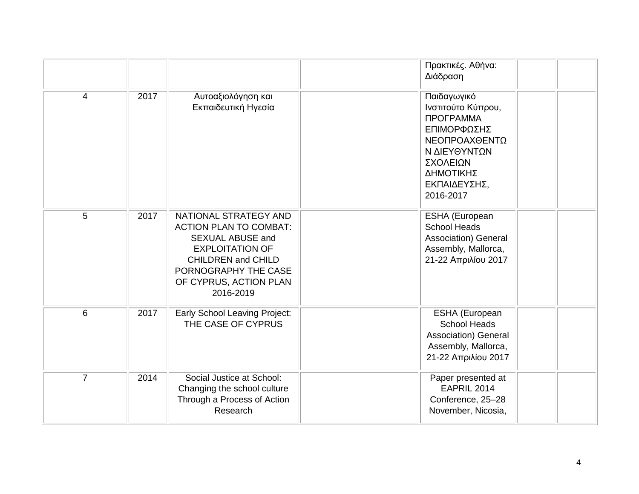|                |      |                                                                                                                                                                                                         | Πρακτικές. Αθήνα:<br>Διάδραση                                                                                                                               |
|----------------|------|---------------------------------------------------------------------------------------------------------------------------------------------------------------------------------------------------------|-------------------------------------------------------------------------------------------------------------------------------------------------------------|
| $\overline{4}$ | 2017 | Αυτοαξιολόγηση και<br>Εκπαιδευτική Ηγεσία                                                                                                                                                               | Παιδαγωγικό<br>Ινστιτούτο Κύπρου,<br><b>ПРОГРАММА</b><br>ΕΠΙΜΟΡΦΩΣΗΣ<br>ΝΕΟΠΡΟΑΧΘΕΝΤΩ<br>Ν ΔΙΕΥΘΥΝΤΩΝ<br>ΣΧΟΛΕΙΩΝ<br>ΔΗΜΟΤΙΚΗΣ<br>ΕΚΠΑΙΔΕΥΣΗΣ,<br>2016-2017 |
| 5              | 2017 | NATIONAL STRATEGY AND<br><b>ACTION PLAN TO COMBAT:</b><br><b>SEXUAL ABUSE and</b><br><b>EXPLOITATION OF</b><br><b>CHILDREN</b> and CHILD<br>PORNOGRAPHY THE CASE<br>OF CYPRUS, ACTION PLAN<br>2016-2019 | ESHA (European<br><b>School Heads</b><br>Association) General<br>Assembly, Mallorca,<br>21-22 Απριλίου 2017                                                 |
| 6              | 2017 | Early School Leaving Project:<br>THE CASE OF CYPRUS                                                                                                                                                     | ESHA (European<br><b>School Heads</b><br>Association) General<br>Assembly, Mallorca,<br>21-22 Απριλίου 2017                                                 |
| $\overline{7}$ | 2014 | Social Justice at School:<br>Changing the school culture<br>Through a Process of Action<br>Research                                                                                                     | Paper presented at<br>EAPRIL 2014<br>Conference, 25-28<br>November, Nicosia,                                                                                |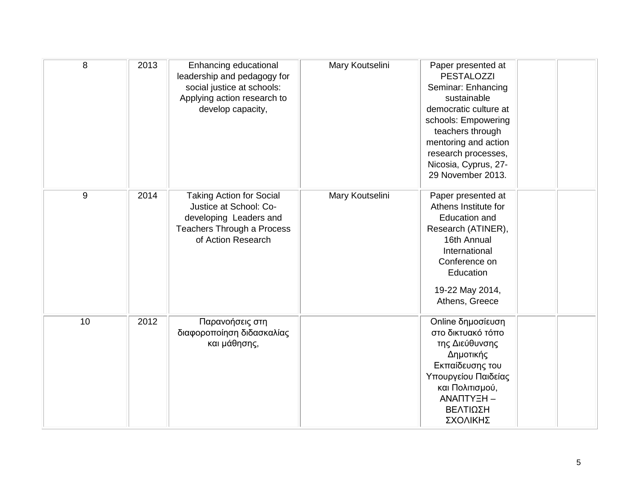| 8  | 2013 | Enhancing educational<br>leadership and pedagogy for<br>social justice at schools:<br>Applying action research to<br>develop capacity,         | Mary Koutselini | Paper presented at<br><b>PESTALOZZI</b><br>Seminar: Enhancing<br>sustainable<br>democratic culture at<br>schools: Empowering<br>teachers through<br>mentoring and action<br>research processes,<br>Nicosia, Cyprus, 27-<br>29 November 2013. |  |
|----|------|------------------------------------------------------------------------------------------------------------------------------------------------|-----------------|----------------------------------------------------------------------------------------------------------------------------------------------------------------------------------------------------------------------------------------------|--|
| 9  | 2014 | <b>Taking Action for Social</b><br>Justice at School: Co-<br>developing Leaders and<br><b>Teachers Through a Process</b><br>of Action Research | Mary Koutselini | Paper presented at<br>Athens Institute for<br><b>Education and</b><br>Research (ATINER),<br>16th Annual<br>International<br>Conference on<br>Education<br>19-22 May 2014,<br>Athens, Greece                                                  |  |
| 10 | 2012 | Παρανοήσεις στη<br>διαφοροποίηση διδασκαλίας<br>και μάθησης,                                                                                   |                 | Online δημοσίευση<br>στο δικτυακό τόπο<br>της Διεύθυνσης<br>Δημοτικής<br>Εκπαίδευσης του<br>Υπουργείου Παιδείας<br>και Πολιτισμού,<br>ΑΝΑΠΤΥΞΗ -<br>ΒΕΛΤΙΩΣΗ<br>ΣΧΟΛΙΚΗΣ                                                                     |  |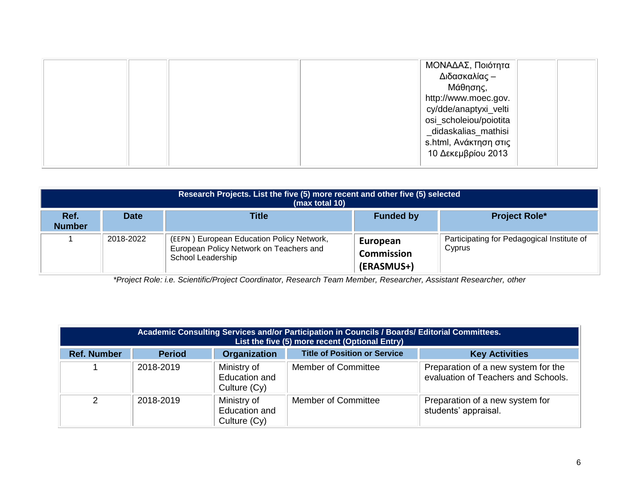| ΜΟΝΑΔΑΣ, Ποιότητα      |  |
|------------------------|--|
| Διδασκαλίας -          |  |
| Μάθησης,               |  |
| http://www.moec.gov.   |  |
| cy/dde/anaptyxi_velti  |  |
| osi_scholeiou/poiotita |  |
| _didaskalias_mathisi   |  |
| s.html, Ανάκτηση στις  |  |
| 10 Δεκεμβρίου 2013     |  |
|                        |  |

| Research Projects. List the five (5) more recent and other five (5) selected<br>(max total 10) |             |                                                                                                           |                                             |                                                      |  |
|------------------------------------------------------------------------------------------------|-------------|-----------------------------------------------------------------------------------------------------------|---------------------------------------------|------------------------------------------------------|--|
| Ref.<br><b>Number</b>                                                                          | <b>Date</b> | Title                                                                                                     | <b>Funded by</b>                            | <b>Project Role*</b>                                 |  |
|                                                                                                | 2018-2022   | (EEPN) European Education Policy Network,<br>European Policy Network on Teachers and<br>School Leadership | European<br><b>Commission</b><br>(ERASMUS+) | Participating for Pedagogical Institute of<br>Cyprus |  |

*\*Project Role: i.e. Scientific/Project Coordinator, Research Team Member, Researcher, Assistant Researcher, other*

| Academic Consulting Services and/or Participation in Councils / Boards/ Editorial Committees.<br>List the five (5) more recent (Optional Entry) |               |                                                       |                                     |                                                                            |  |
|-------------------------------------------------------------------------------------------------------------------------------------------------|---------------|-------------------------------------------------------|-------------------------------------|----------------------------------------------------------------------------|--|
| <b>Ref. Number</b>                                                                                                                              | <b>Period</b> | <b>Organization</b>                                   | <b>Title of Position or Service</b> | <b>Key Activities</b>                                                      |  |
|                                                                                                                                                 | 2018-2019     | Ministry of<br>Education and<br>Culture (Cy)          | <b>Member of Committee</b>          | Preparation of a new system for the<br>evaluation of Teachers and Schools. |  |
| $\mathcal{P}$                                                                                                                                   | 2018-2019     | Ministry of<br><b>Education and</b><br>Culture $(Cy)$ | <b>Member of Committee</b>          | Preparation of a new system for<br>students' appraisal.                    |  |